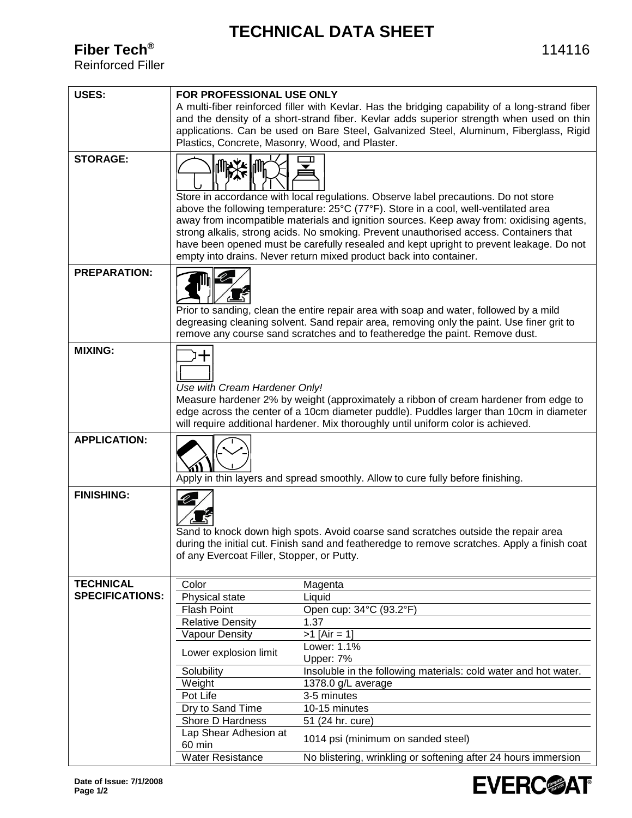## **TECHNICAL DATA SHEET**

**Fiber Tech®**

Reinforced Filler

| <b>USES:</b>           | FOR PROFESSIONAL USE ONLY                                                                                                                                                          |                                                                                                                                                                                   |  |
|------------------------|------------------------------------------------------------------------------------------------------------------------------------------------------------------------------------|-----------------------------------------------------------------------------------------------------------------------------------------------------------------------------------|--|
|                        | A multi-fiber reinforced filler with Kevlar. Has the bridging capability of a long-strand fiber                                                                                    |                                                                                                                                                                                   |  |
|                        | and the density of a short-strand fiber. Kevlar adds superior strength when used on thin                                                                                           |                                                                                                                                                                                   |  |
|                        |                                                                                                                                                                                    | applications. Can be used on Bare Steel, Galvanized Steel, Aluminum, Fiberglass, Rigid                                                                                            |  |
|                        | Plastics, Concrete, Masonry, Wood, and Plaster.                                                                                                                                    |                                                                                                                                                                                   |  |
|                        |                                                                                                                                                                                    |                                                                                                                                                                                   |  |
| <b>STORAGE:</b>        | N¥¥M                                                                                                                                                                               |                                                                                                                                                                                   |  |
|                        |                                                                                                                                                                                    |                                                                                                                                                                                   |  |
|                        |                                                                                                                                                                                    |                                                                                                                                                                                   |  |
|                        |                                                                                                                                                                                    | Store in accordance with local regulations. Observe label precautions. Do not store                                                                                               |  |
|                        |                                                                                                                                                                                    | above the following temperature: 25°C (77°F). Store in a cool, well-ventilated area                                                                                               |  |
|                        |                                                                                                                                                                                    | away from incompatible materials and ignition sources. Keep away from: oxidising agents,                                                                                          |  |
|                        |                                                                                                                                                                                    | strong alkalis, strong acids. No smoking. Prevent unauthorised access. Containers that<br>have been opened must be carefully resealed and kept upright to prevent leakage. Do not |  |
|                        |                                                                                                                                                                                    | empty into drains. Never return mixed product back into container.                                                                                                                |  |
|                        |                                                                                                                                                                                    |                                                                                                                                                                                   |  |
| <b>PREPARATION:</b>    |                                                                                                                                                                                    |                                                                                                                                                                                   |  |
|                        |                                                                                                                                                                                    |                                                                                                                                                                                   |  |
|                        |                                                                                                                                                                                    |                                                                                                                                                                                   |  |
|                        |                                                                                                                                                                                    | Prior to sanding, clean the entire repair area with soap and water, followed by a mild                                                                                            |  |
|                        |                                                                                                                                                                                    | degreasing cleaning solvent. Sand repair area, removing only the paint. Use finer grit to                                                                                         |  |
|                        |                                                                                                                                                                                    | remove any course sand scratches and to featheredge the paint. Remove dust.                                                                                                       |  |
| <b>MIXING:</b>         | ┿                                                                                                                                                                                  |                                                                                                                                                                                   |  |
|                        |                                                                                                                                                                                    |                                                                                                                                                                                   |  |
|                        |                                                                                                                                                                                    |                                                                                                                                                                                   |  |
|                        | Use with Cream Hardener Only!                                                                                                                                                      |                                                                                                                                                                                   |  |
|                        |                                                                                                                                                                                    | Measure hardener 2% by weight (approximately a ribbon of cream hardener from edge to                                                                                              |  |
|                        |                                                                                                                                                                                    | edge across the center of a 10cm diameter puddle). Puddles larger than 10cm in diameter                                                                                           |  |
|                        |                                                                                                                                                                                    | will require additional hardener. Mix thoroughly until uniform color is achieved.                                                                                                 |  |
| <b>APPLICATION:</b>    |                                                                                                                                                                                    |                                                                                                                                                                                   |  |
|                        |                                                                                                                                                                                    |                                                                                                                                                                                   |  |
|                        |                                                                                                                                                                                    |                                                                                                                                                                                   |  |
|                        |                                                                                                                                                                                    | Apply in thin layers and spread smoothly. Allow to cure fully before finishing.                                                                                                   |  |
| <b>FINISHING:</b>      |                                                                                                                                                                                    |                                                                                                                                                                                   |  |
|                        |                                                                                                                                                                                    |                                                                                                                                                                                   |  |
|                        |                                                                                                                                                                                    |                                                                                                                                                                                   |  |
|                        |                                                                                                                                                                                    |                                                                                                                                                                                   |  |
|                        | Sand to knock down high spots. Avoid coarse sand scratches outside the repair area<br>during the initial cut. Finish sand and featheredge to remove scratches. Apply a finish coat |                                                                                                                                                                                   |  |
|                        | of any Evercoat Filler, Stopper, or Putty.                                                                                                                                         |                                                                                                                                                                                   |  |
|                        |                                                                                                                                                                                    |                                                                                                                                                                                   |  |
| <b>TECHNICAL</b>       | Color                                                                                                                                                                              | Magenta                                                                                                                                                                           |  |
| <b>SPECIFICATIONS:</b> | Physical state                                                                                                                                                                     | Liquid                                                                                                                                                                            |  |
|                        | <b>Flash Point</b>                                                                                                                                                                 | Open cup: 34°C (93.2°F)                                                                                                                                                           |  |
|                        | <b>Relative Density</b>                                                                                                                                                            | 1.37                                                                                                                                                                              |  |
|                        | <b>Vapour Density</b>                                                                                                                                                              | $>1$ [Air = 1]                                                                                                                                                                    |  |
|                        |                                                                                                                                                                                    | Lower: 1.1%                                                                                                                                                                       |  |
|                        | Lower explosion limit                                                                                                                                                              | Upper: 7%                                                                                                                                                                         |  |
|                        | Solubility                                                                                                                                                                         | Insoluble in the following materials: cold water and hot water.                                                                                                                   |  |
|                        | Weight                                                                                                                                                                             | 1378.0 g/L average                                                                                                                                                                |  |
|                        | Pot Life                                                                                                                                                                           | 3-5 minutes                                                                                                                                                                       |  |
|                        | Dry to Sand Time                                                                                                                                                                   | $10-15$ minutes                                                                                                                                                                   |  |
|                        | Shore D Hardness                                                                                                                                                                   | 51 (24 hr. cure)                                                                                                                                                                  |  |
|                        | Lap Shear Adhesion at                                                                                                                                                              |                                                                                                                                                                                   |  |
|                        | 60 min                                                                                                                                                                             | 1014 psi (minimum on sanded steel)                                                                                                                                                |  |
|                        | <b>Water Resistance</b>                                                                                                                                                            | No blistering, wrinkling or softening after 24 hours immersion                                                                                                                    |  |